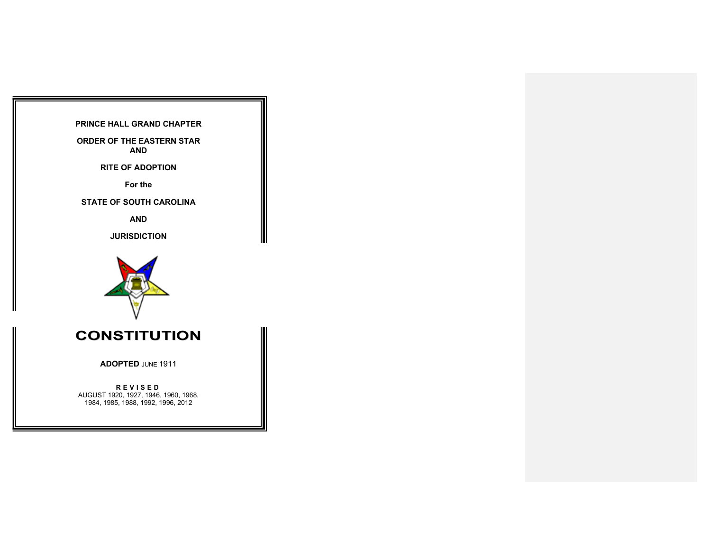## **PRINCE HALL GRAND CHAPTER**

**ORDER OF THE EASTERN STAR AND**

**RITE OF ADOPTION**

**For the**

**STATE OF SOUTH CAROLINA**

**AND**

**JURISDICTION**



# **CONSTITUTION**

**ADOPTED** JUNE 1911

**REVISED** AUGUST 1920, 1927, 1946, 1960, 1968, 1984, 1985, 1988, 1992, 1996, 2012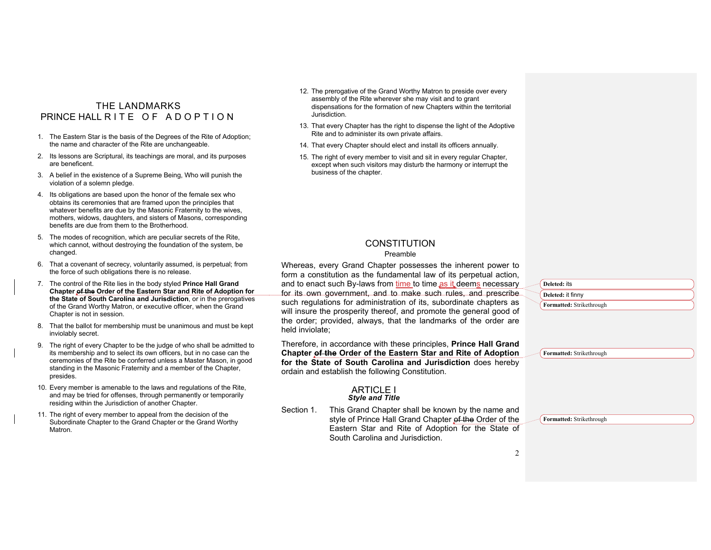## THE LANDMARKS PRINCE HALL RITE OF ADOPTION

- 1. The Eastern Star is the basis of the Degrees of the Rite of Adoption; the name and character of the Rite are unchangeable.
- 2. Its lessons are Scriptural, its teachings are moral, and its purposes are beneficent.
- 3. A belief in the existence of a Supreme Being, Who will punish the violation of a solemn pledge.
- 4. Its obligations are based upon the honor of the female sex who obtains its ceremonies that are framed upon the principles that whatever benefits are due by the Masonic Fraternity to the wives, mothers, widows, daughters, and sisters of Masons, corresponding benefits are due from them to the Brotherhood.
- 5. The modes of recognition, which are peculiar secrets of the Rite, which cannot, without destroying the foundation of the system, be changed.
- 6. That a covenant of secrecy, voluntarily assumed, is perpetual; from the force of such obligations there is no release.
- 7. The control of the Rite lies in the body styled **Prince Hall Grand Chapter of the Order of the Eastern Star and Rite of Adoption for the State of South Carolina and Jurisdiction**, or in the prerogatives of the Grand Worthy Matron, or executive officer, when the Grand Chapter is not in session.
- 8. That the ballot for membership must be unanimous and must be kept inviolably secret.
- 9. The right of every Chapter to be the judge of who shall be admitted to its membership and to select its own officers, but in no case can the ceremonies of the Rite be conferred unless a Master Mason, in good standing in the Masonic Fraternity and a member of the Chapter, presides.
- 10. Every member is amenable to the laws and regulations of the Rite, and may be tried for offenses, through permanently or temporarily residing within the Jurisdiction of another Chapter.
- 11. The right of every member to appeal from the decision of the Subordinate Chapter to the Grand Chapter or the Grand Worthy Matron.
- 12. The prerogative of the Grand Worthy Matron to preside over every assembly of the Rite wherever she may visit and to grant dispensations for the formation of new Chapters within the territorial Jurisdiction.
- 13. That every Chapter has the right to dispense the light of the Adoptive Rite and to administer its own private affairs.
- 14. That every Chapter should elect and install its officers annually.
- 15. The right of every member to visit and sit in every regular Chapter, except when such visitors may disturb the harmony or interrupt the business of the chapter.

## **CONSTITUTION**

#### Preamble

Whereas, every Grand Chapter possesses the inherent power to form a constitution as the fundamental law of its perpetual action, and to enact such By-laws from time to time as it deems necessary for its own government, and to make such rules, and prescribe such regulations for administration of its, subordinate chapters as will insure the prosperity thereof, and promote the general good of the order; provided, always, that the landmarks of the order are held inviolate;

Therefore, in accordance with these principles, **Prince Hall Grand Chapter of the Order of the Eastern Star and Rite of Adoption for the State of South Carolina and Jurisdiction** does hereby ordain and establish the following Constitution.

#### ARTICLE I *Style and Title*

Section 1. This Grand Chapter shall be known by the name and style of Prince Hall Grand Chapter of the Order of the Eastern Star and Rite of Adoption for the State of South Carolina and Jurisdiction.

| Deleted: its             |  |
|--------------------------|--|
| Deleted: it finny        |  |
| Formatted: Strikethrough |  |

**Formatted:** Strikethrough

**Formatted:** Strikethrough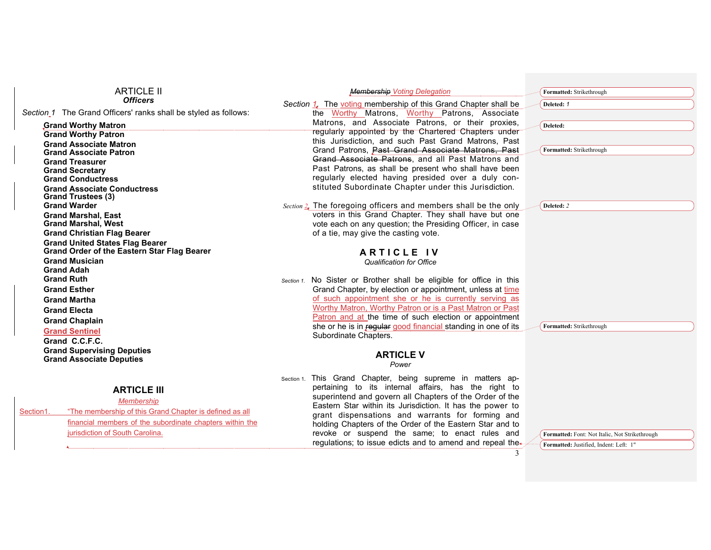| <b>ARTICLE II</b>                                                          | <b>Membership Voting Delegation</b>                                                                                | Formatted: Strikethrough                       |
|----------------------------------------------------------------------------|--------------------------------------------------------------------------------------------------------------------|------------------------------------------------|
| <b>Officers</b>                                                            | Section 1, The voting membership of this Grand Chapter shall be                                                    | Deleted: 1                                     |
| Section <sub>1</sub> The Grand Officers' ranks shall be styled as follows: | the Worthy Matrons, Worthy Patrons, Associate                                                                      |                                                |
| Grand Worthy Matron                                                        | Matrons, and Associate Patrons, or their proxies,                                                                  | Deleted:                                       |
| <b>Grand Worthy Patron</b>                                                 | regularly appointed by the Chartered Chapters under<br>this Jurisdiction, and such Past Grand Matrons, Past        |                                                |
| <b>Grand Associate Matron</b>                                              | Grand Patrons, Past Grand Associate Matrons, Past                                                                  | Formatted: Strikethrough                       |
| <b>Grand Associate Patron</b>                                              | Grand Associate Patrons, and all Past Matrons and                                                                  |                                                |
| <b>Grand Treasurer</b><br><b>Grand Secretary</b>                           | Past Patrons, as shall be present who shall have been                                                              |                                                |
| <b>Grand Conductress</b>                                                   | regularly elected having presided over a duly con-                                                                 |                                                |
| <b>Grand Associate Conductress</b>                                         | stituted Subordinate Chapter under this Jurisdiction.                                                              |                                                |
| <b>Grand Trustees (3)</b>                                                  |                                                                                                                    |                                                |
| <b>Grand Warder</b>                                                        | Section 2. The foregoing officers and members shall be the only                                                    | Deleted: 2                                     |
| <b>Grand Marshal, East</b><br><b>Grand Marshal, West</b>                   | voters in this Grand Chapter. They shall have but one<br>vote each on any question; the Presiding Officer, in case |                                                |
| <b>Grand Christian Flag Bearer</b>                                         | of a tie, may give the casting vote.                                                                               |                                                |
| <b>Grand United States Flag Bearer</b>                                     |                                                                                                                    |                                                |
| <b>Grand Order of the Eastern Star Flag Bearer</b>                         | <b>ARTICLE IV</b>                                                                                                  |                                                |
| <b>Grand Musician</b>                                                      | <b>Qualification for Office</b>                                                                                    |                                                |
| <b>Grand Adah</b>                                                          |                                                                                                                    |                                                |
| <b>Grand Ruth</b>                                                          | Section 1. No Sister or Brother shall be eligible for office in this                                               |                                                |
| <b>Grand Esther</b>                                                        | Grand Chapter, by election or appointment, unless at time                                                          |                                                |
| <b>Grand Martha</b>                                                        | of such appointment she or he is currently serving as<br>Worthy Matron, Worthy Patron or is a Past Matron or Past  |                                                |
| <b>Grand Electa</b>                                                        | Patron and at the time of such election or appointment                                                             |                                                |
| <b>Grand Chaplain</b>                                                      | she or he is in regular good financial standing in one of its                                                      | Formatted: Strikethrough                       |
| <b>Grand Sentinel</b>                                                      | Subordinate Chapters.                                                                                              |                                                |
| Grand C.C.F.C.                                                             |                                                                                                                    |                                                |
| <b>Grand Supervising Deputies</b><br><b>Grand Associate Deputies</b>       | <b>ARTICLE V</b>                                                                                                   |                                                |
|                                                                            | Power                                                                                                              |                                                |
|                                                                            | Section 1. This Grand Chapter, being supreme in matters ap-                                                        |                                                |
| <b>ARTICLE III</b>                                                         | pertaining to its internal affairs, has the right to                                                               |                                                |
| <b>Membership</b>                                                          | superintend and govern all Chapters of the Order of the                                                            |                                                |
| "The membership of this Grand Chapter is defined as all<br>Section1.       | Eastern Star within its Jurisdiction. It has the power to<br>grant dispensations and warrants for forming and      |                                                |
| financial members of the subordinate chapters within the                   | holding Chapters of the Order of the Eastern Star and to                                                           |                                                |
| jurisdiction of South Carolina.                                            | revoke or suspend the same; to enact rules and                                                                     | Formatted: Font: Not Italic, Not Strikethrough |
|                                                                            | regulations; to issue edicts and to amend and repeal the                                                           | Formatted: Justified, Indent: Left: 1"         |
|                                                                            | 3                                                                                                                  |                                                |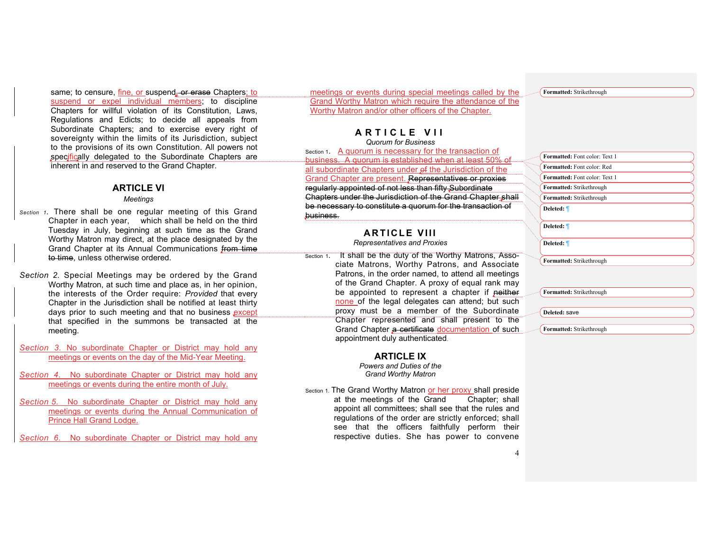same; to censure, fine, or suspend, or erase Chapters; to suspend or expel individual members; to discipline Chapters for willful violation of its Constitution, Laws, Regulations and Edicts; to decide all appeals from Subordinate Chapters; and to exercise every right of sovereignty within the limits of its Jurisdiction, subject to the provisions of its own Constitution. All powers not specifically delegated to the Subordinate Chapters are inherent in and reserved to the Grand Chapter.

## **ARTICLE VI**

#### *Meetings*

*Section 1.* There shall be one regular meeting of this Grand Chapter in each year, which shall be held on the third Tuesday in July, beginning at such time as the Grand Worthy Matron may direct, at the place designated by the Grand Chapter at its Annual Communications from time to time, unless otherwise ordered.

*Section 2.* Special Meetings may be ordered by the Grand Worthy Matron, at such time and place as, in her opinion, the interests of the Order require: *Provided* that every Chapter in the Jurisdiction shall be notified at least thirty days prior to such meeting and that no business except that specified in the summons be transacted at the meeting.

*Section 3.* No subordinate Chapter or District may hold any meetings or events on the day of the Mid-Year Meeting.

*Section 4.* No subordinate Chapter or District may hold any meetings or events during the entire month of July.

*Section 5.* No subordinate Chapter or District may hold any meetings or events during the Annual Communication of Prince Hall Grand Lodge.

*Section 6.* No subordinate Chapter or District may hold any

meetings or events during special meetings called by the Grand Worthy Matron which require the attendance of the Worthy Matron and/or other officers of the Chapter.

## **ARTICLE VII**

*Quorum for Business* Section 1. A quorum is necessary for the transaction of business. A quorum is established when at least 50% of all subordinate Chapters under of the Jurisdiction of the Grand Chapter are present. Representatives or proxies regularly appointed of not less than fifty Subordinate Chapters under the Jurisdiction of the Grand Chapter shall be necessary to constitute a quorum for the transaction of business.

## **ARTICLE VIII**

*Representatives and Proxies*

 Section 1. It shall be the duty of the Worthy Matrons, Associate Matrons, Worthy Patrons, and Associate Patrons, in the order named, to attend all meetings of the Grand Chapter. A proxy of equal rank may be appointed to represent a chapter if neither none of the legal delegates can attend; but such proxy must be a member of the Subordinate Chapter represented and shall present to the Grand Chapter a certificate documentation of such appointment duly authenticated.

#### **ARTICLE IX**

*Powers and Duties of the Grand Worthy Matron*

Section 1. The Grand Worthy Matron or her proxy shall preside at the meetings of the Grand Chapter; shall appoint all committees; shall see that the rules and regulations of the order are strictly enforced; shall see that the officers faithfully perform their respective duties. She has power to convene

**Formatted:** Strikethrough

| <b>Formatted:</b> Font color: Text 1 |
|--------------------------------------|
| Formatted: Font color: Red           |
| <b>Formatted:</b> Font color: Text 1 |
| Formatted: Strikethrough             |
| Formatted: Strikethrough             |
| Deleted: 1                           |
| Deleted: 1                           |
| Deleted: 1                           |
| Formatted: Strikethrough             |
|                                      |
|                                      |
|                                      |

**Formatted:** Strikethrough

**Deleted:** save

**Formatted:** Strikethrough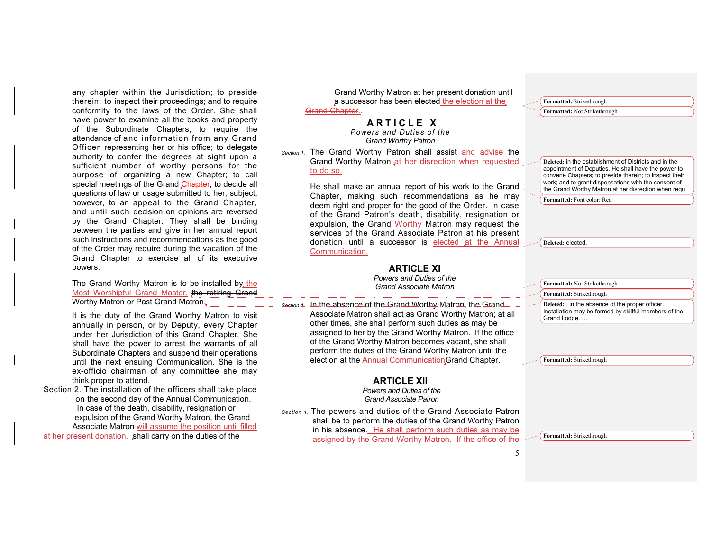any chapter within the Jurisdiction; to preside therein; to inspect their proceedings; and to require conformity to the laws of the Order. She shall have power to examine all the books and property of the Subordinate Chapters; to require the attendance of and information from any Grand Officer representing her or his office; to delegate authority to confer the degrees at sight upon a sufficient number of worthy persons for the purpose of organizing a new Chapter; to call special meetings of the Grand Chapter, to decide all questions of law or usage submitted to her, subject, however, to an appeal to the Grand Chapter, and until such decision on opinions are reversed by the Grand Chapter. They shall be binding between the parties and give in her annual report such instructions and recommendations as the good of the Order may require during the vacation of the Grand Chapter to exercise all of its executive powers.

The Grand Worthy Matron is to be installed by the Most Worshipful Grand Master, the retiring Grand Worthy Matron or Past Grand Matron.

It is the duty of the Grand Worthy Matron to visit annually in person, or by Deputy, every Chapter under her Jurisdiction of this Grand Chapter. She shall have the power to arrest the warrants of all Subordinate Chapters and suspend their operations until the next ensuing Communication. She is the ex-officio chairman of any committee she may think proper to attend.

Section 2*.* The installation of the officers shall take place on the second day of the Annual Communication. In case of the death, disability, resignation or expulsion of the Grand Worthy Matron, the Grand Associate Matron will assume the position until filled

at her present donation. shall carry on the duties of the

 Grand Worthy Matron at her present donation until a successor has been elected the election at the Grand Chapter...

## **ARTICLE X**

*Powers and Duties of the Grand Worthy Patron*

*Section 1.* The Grand Worthy Patron shall assist and advise the Grand Worthy Matron at her disrection when requested to do so.

> He shall make an annual report of his work to the Grand Chapter, making such recommendations as he may deem right and proper for the good of the Order. In case of the Grand Patron's death, disability, resignation or expulsion, the Grand Worthy Matron may request the services of the Grand Associate Patron at his present donation until a successor is elected at the Annual Communication.

## **ARTICLE XI**

*Powers and Duties of the Grand Associate Matron*

*Section 1.* In the absence of the Grand Worthy Matron, the Grand Associate Matron shall act as Grand Worthy Matron; at all other times, she shall perform such duties as may be assigned to her by the Grand Worthy Matron. If the office of the Grand Worthy Matron becomes vacant, she shall perform the duties of the Grand Worthy Matron until the election at the Annual Communication Grand Chapter.

#### **ARTICLE XII**

*Powers and Duties of the Grand Associate Patron*

*Section 1.* The powers and duties of the Grand Associate Patron shall be to perform the duties of the Grand Worthy Patron in his absence. He shall perform such duties as may be assigned by the Grand Worthy Matron. If the office of the **Formatted:** Strikethrough **Formatted:** Not Strikethrough

**Deleted:** in the establishment of Districts and in the appointment of Deputies. He shall have the power to convene Chapters; to preside therein; to inspect their work; and to grant dispensations with the consent of the Grand Worthy Matron.at her disrection when requ

**Formatted:** Font color: Red

**Formatted:** Not Strikethrough

**Formatted:** Strikethrough

**Deleted:** elected.

**Deleted:** , in the absence of the proper officer. Installation may be formed by skillful members of the Grand Lodge. …

**Formatted:** Strikethrough

**Formatted:** Strikethrough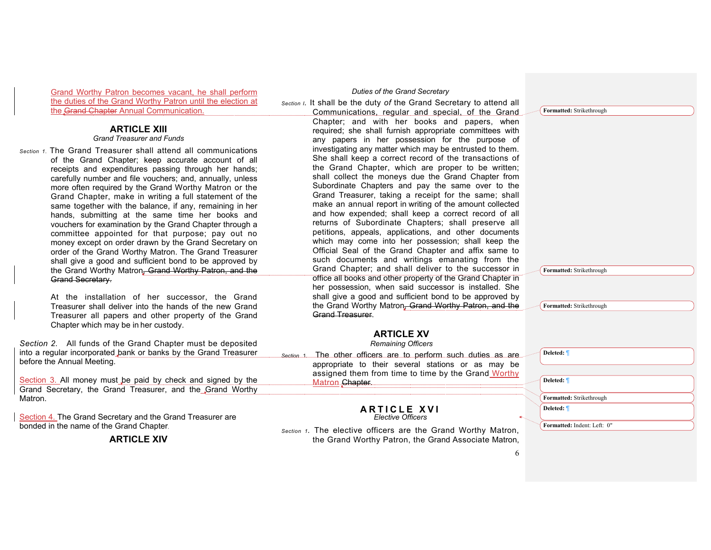Grand Worthy Patron becomes vacant, he shall perform the duties of the Grand Worthy Patron until the election at the Grand Chapter Annual Communication.

## **ARTICLE XIII**

## *Grand Treasurer and Funds*

*Section 1.* The Grand Treasurer shall attend all communications of the Grand Chapter; keep accurate account of all receipts and expenditures passing through her hands; carefully number and file vouchers; and, annually, unless more often required by the Grand Worthy Matron or the Grand Chapter, make in writing a full statement of the same together with the balance, if any, remaining in her hands, submitting at the same time her books and vouchers for examination by the Grand Chapter through a committee appointed for that purpose; pay out no money except on order drawn by the Grand Secretary on order of the Grand Worthy Matron. The Grand Treasurer shall give a good and sufficient bond to be approved by the Grand Worthy Matron, Grand Worthy Patron, and the **Grand Secretary.** 

> At the installation of her successor, the Grand Treasurer shall deliver into the hands of the new Grand Treasurer all papers and other property of the Grand Chapter which may be in her custody.

*Section 2.* All funds of the Grand Chapter must be deposited into a regular incorporated bank or banks by the Grand Treasurer before the Annual Meeting.

Section 3. All money must be paid by check and signed by the Grand Secretary, the Grand Treasurer, and the Grand Worthy Matron.

Section 4. The Grand Secretary and the Grand Treasurer are bonded in the name of the Grand Chapter.

## **ARTICLE XIV**

#### *Duties of the Grand Secretary*

*Section I.* It shall be the duty *of* the Grand Secretary to attend all Communications, regular and special, of the Grand

> Chapter; and with her books and papers, when required; she shall furnish appropriate committees with any papers in her possession for the purpose of investigating any matter which may be entrusted to them. She shall keep a correct record of the transactions of the Grand Chapter, which are proper to be written; shall collect the moneys due the Grand Chapter from Subordinate Chapters and pay the same over to the Grand Treasurer, taking a receipt for the same; shall make an annual report in writing of the amount collected and how expended; shall keep a correct record of all returns of Subordinate Chapters; shall preserve all petitions, appeals, applications, and other documents which may come into her possession; shall keep the Official Seal of the Grand Chapter and affix same to such documents and writings emanating from the Grand Chapter; and shall deliver to the successor in office all books and other property of the Grand Chapter in her possession, when said successor is installed. She shall give a good and sufficient bond to be approved by the Grand Worthy Matron, Grand Worthy Patron, and the Grand Treasurer.

## **ARTICLE XV**

*Remaining Officers*

*Section* 1. The other officers are to perform such duties as are appropriate to their several stations or as may be assigned them from time to time by the Grand Worthy Matron Chapter.

#### **ARTICLE XVI** *Elective Officers*

*Section 1.* The elective officers are the Grand Worthy Matron, the Grand Worthy Patron, the Grand Associate Matron, **Formatted:** Strikethrough

**Formatted:** Strikethrough

**Formatted:** Strikethrough

| Deleted: 1                  |  |
|-----------------------------|--|
|                             |  |
|                             |  |
| Deleted: <i>¶</i>           |  |
|                             |  |
| Formatted: Strikethrough    |  |
| Deleted: 1                  |  |
|                             |  |
| Formatted: Indent: Left: 0" |  |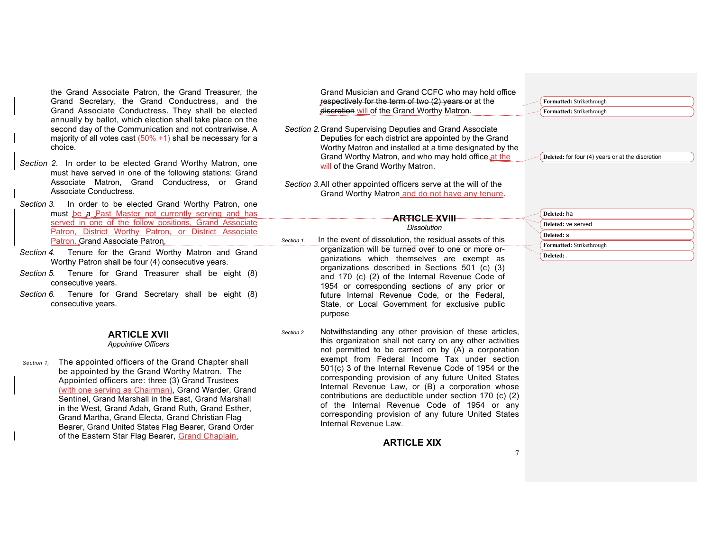the Grand Associate Patron, the Grand Treasurer, the Grand Secretary, the Grand Conductress, and the Grand Associate Conductress. They shall be elected annually by ballot, which election shall take place on the second day of the Communication and not contrariwise. A majority of all votes cast  $(50\% + 1)$  shall be necessary for a choice.

*Section 2.* In order to be elected Grand Worthy Matron, one must have served in one of the following stations: Grand Associate Matron, Grand Conductress, or Grand Associate Conductress.

*Section 3.* In order to be elected Grand Worthy Patron, one must be a Past Master not currently serving and has served in one of the follow positions, Grand Associate Patron, District Worthy Patron, or District Associate Patron. Grand Associate Patron

- *Section 4.* Tenure for the Grand Worthy Matron and Grand Worthy Patron shall be four (4) consecutive years.
- *Section 5.* Tenure for Grand Treasurer shall be eight (8) consecutive years.
- *Section 6.* Tenure for Grand Secretary shall be eight (8) consecutive years.

## **ARTICLE XVII**

*Appointive Officers*

*Section 1,* The appointed officers of the Grand Chapter shall be appointed by the Grand Worthy Matron. The Appointed officers are: three (3) Grand Trustees (with one serving as Chairman), Grand Warder, Grand Sentinel, Grand Marshall in the East, Grand Marshall in the West, Grand Adah, Grand Ruth, Grand Esther, Grand Martha, Grand Electa, Grand Christian Flag Bearer, Grand United States Flag Bearer, Grand Order of the Eastern Star Flag Bearer, Grand Chaplain,

Grand Musician and Grand CCFC who may hold office respectively for the term of two (2) years or at the discretion will of the Grand Worthy Matron.

- *Section 2.*Grand Supervising Deputies and Grand Associate Deputies for each district are appointed by the Grand Worthy Matron and installed at a time designated by the Grand Worthy Matron, and who may hold office at the will of the Grand Worthy Matron.
- *Section 3.*All other appointed officers serve at the will of the Grand Worthy Matron and do not have any tenure.

**Formatted:** Strikethrough **Formatted:** Strikethrough

**Deleted:** for four (4) years or at the discretion

**Deleted:** ha **Deleted:** ve served **Deleted:** s **Formatted:** Strikethrough **Deleted:** .

*Dissolution Section 1.* In the event of dissolution, the residual assets of this organization will be turned over to one or more organizations which themselves are exempt as organizations described in Sections 501 (c) (3) and 170 (c) (2) of the Internal Revenue Code of 1954 or corresponding sections of any prior or future Internal Revenue Code, or the Federal, State, or Local Government for exclusive public purpose.

**ARTICLE XVIII** 

*Section 2.* Notwithstanding any other provision of these articles, this organization shall not carry on any other activities not permitted to be carried on by (A) a corporation exempt from Federal Income Tax under section 501(c) 3 of the Internal Revenue Code of 1954 or the corresponding provision of any future United States Internal Revenue Law, or (B) a corporation whose contributions are deductible under section 170 (c) (2) of the Internal Revenue Code of 1954 or any corresponding provision of any future United States Internal Revenue Law.

#### **ARTICLE XIX**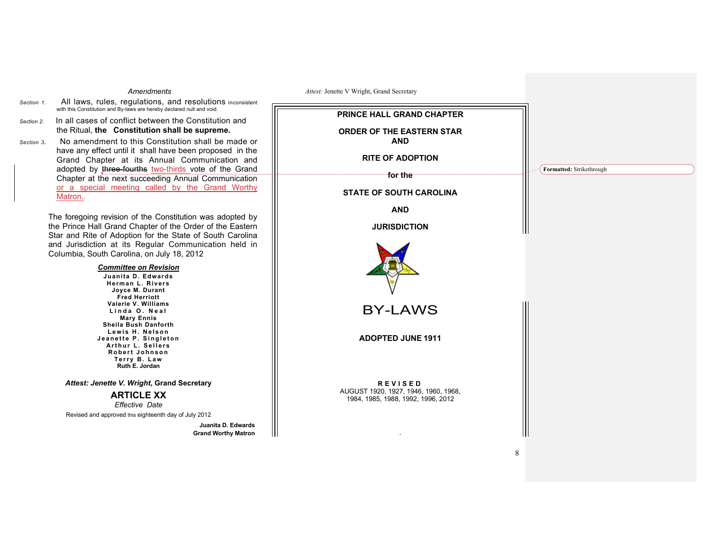#### *Amendments*

- *Section 1.* All laws, rules, regulations, and resolutions inconsistent with this Constitution and By-laws are hereby declared null and void.
- *Section 2.* In all cases of conflict between the Constitution and the Ritual, **the Constitution shall be supreme.**
- *Section 3.* No amendment to this Constitution shall be made or have any effect until it shall have been proposed in the Grand Chapter at its Annual Communication and adopted by three-fourths two-thirds vote of the Grand Chapter at the next succeeding Annual Communication or a special meeting called by the Grand Worthy Matron.

The foregoing revision of the Constitution was adopted by the Prince Hall Grand Chapter of the Order of the Eastern Star and Rite of Adoption for the State of South Carolina and Jurisdiction at its Regular Communication held in Columbia, South Carolina, on July 18, 2012

## *Committee on Revision*

**Juanita D. Edwards Herman L. Rivers Joyce M. Durant Fred Herriott Valerie V. Williams Linda O. Neal Mary Ennis Sheila Bush Danforth Lewis H. Nelson Jeanette P. Single ton A rthur L . Sellers Robert Johnson Terry B. Law Ruth E. Jordan**

*Attest: Jenette V. Wright***, Grand Secretary**

## **ARTICLE XX**

*Effective Date*

Revised and approved this eighteenth day of July 2012

**Juanita D. Edwards Grand Worthy Matron** ║

| PRINCE HALL GRAND CHAPTER                                                                    |                          |
|----------------------------------------------------------------------------------------------|--------------------------|
| ORDER OF THE EASTERN STAR<br><b>AND</b>                                                      |                          |
| <b>RITE OF ADOPTION</b>                                                                      |                          |
| for the                                                                                      | Formatted: Strikethrough |
| <b>STATE OF SOUTH CAROLINA</b>                                                               |                          |
| <b>AND</b>                                                                                   |                          |
| <b>JURISDICTION</b>                                                                          |                          |
|                                                                                              |                          |
| <b>BY-LAWS</b>                                                                               |                          |
| <b>ADOPTED JUNE 1911</b>                                                                     |                          |
|                                                                                              |                          |
|                                                                                              |                          |
| <b>REVISED</b><br>AUGUST 1920, 1927, 1946, 1960, 1968,<br>1984, 1985, 1988, 1992, 1996, 2012 |                          |
|                                                                                              |                          |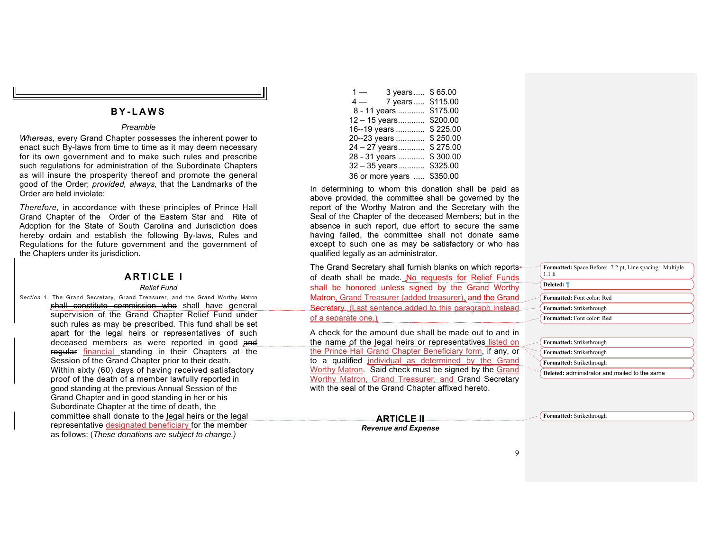## **B Y - LAWS**

## *Preamble*

*Whereas,* every Grand Chapter possesses the inherent power to enact such By-laws from time to time as it may deem necessary for its own government and to make such rules and prescribe such regulations for administration of the Subordinate Chapters as will insure the prosperity thereof and promote the general good of the Order; *provided, always,* that the Landmarks of the Order are held inviolate:

*Therefore,* in accordance with these principles of Prince Hall Grand Chapter of the Order of the Eastern Star and Rite of Adoption for the State of South Carolina and Jurisdiction does hereby ordain and establish the following By-laws, Rules and Regulations for the future government and the government of the Chapters under its jurisdiction.

# **ARTICLE I**

## *Relief Fund*

*Section* 1. The Grand Secretary, Grand Treasurer, and the Grand Worthy Matron shall constitute commission who shall have general supervision of the Grand Chapter Relief Fund under such rules as may be prescribed. This fund shall be set apart for the legal heirs or representatives of such deceased members as were reported in good and regular financial standing in their Chapters at the Session of the Grand Chapter prior to their death. Within sixty (60) days of having received satisfactory proof of the death of a member lawfully reported in good standing at the previous Annual Session of the Grand Chapter and in good standing in her or his Subordinate Chapter at the time of death, the committee shall donate to the legal heirs or the legal representative designated beneficiary for the member as follows: (*These donations are subject to change.)*

| $1 -$ | 3 years          | \$65.00  |
|-------|------------------|----------|
| $4-$  | 7 years          | \$115.00 |
|       | 8 - 11 years     | \$175.00 |
|       | 12 - 15 years    | \$200.00 |
|       | 16--19 years     | \$225.00 |
|       | 20--23 years     | \$250.00 |
|       | 24 - 27 years    | \$275.00 |
|       | 28 - 31 years    | \$300.00 |
|       | 32 - 35 years    | \$325.00 |
|       | 36 or more years | \$350.00 |

In determining to whom this donation shall be paid as above provided, the committee shall be governed by the report of the Worthy Matron and the Secretary with the Seal of the Chapter of the deceased Members; but in the absence in such report, due effort to secure the same having failed, the committee shall not donate same except to such one as may be satisfactory or who has qualified legally as an administrator.

The Grand Secretary shall furnish blanks on which reportsof death shall be made. No requests for Relief Funds shall be honored unless signed by the Grand Worthy Matron, Grand Treasurer (added treasurer), and the Grand Secretary. (Last sentence added to this paragraph instead of a separate one.)

A check for the amount due shall be made out to and in the name of the legal heirs or representatives-listed on the Prince Hall Grand Chapter Beneficiary form, if any, or to a qualified individual as determined by the Grand Worthy Matron. Said check must be signed by the Grand Worthy Matron, Grand Treasurer, and Grand Secretary with the seal of the Grand Chapter affixed hereto.

| Formatted: Space Before: 7.2 pt, Line spacing: Multiple<br>$1.1$ li |  |
|---------------------------------------------------------------------|--|
| Deleted: ¶                                                          |  |
| Formatted: Font color: Red                                          |  |
| Formatted: Strikethrough                                            |  |
| <b>Formatted:</b> Font color: Red                                   |  |

| <b>Formatted:</b> Strikethrough               |
|-----------------------------------------------|
| Formatted: Strikethrough                      |
| Formatted: Strikethrough                      |
| Deleted: administrator and mailed to the same |

**ARTICLE II** *Revenue and Expense* **Formatted:** Strikethrough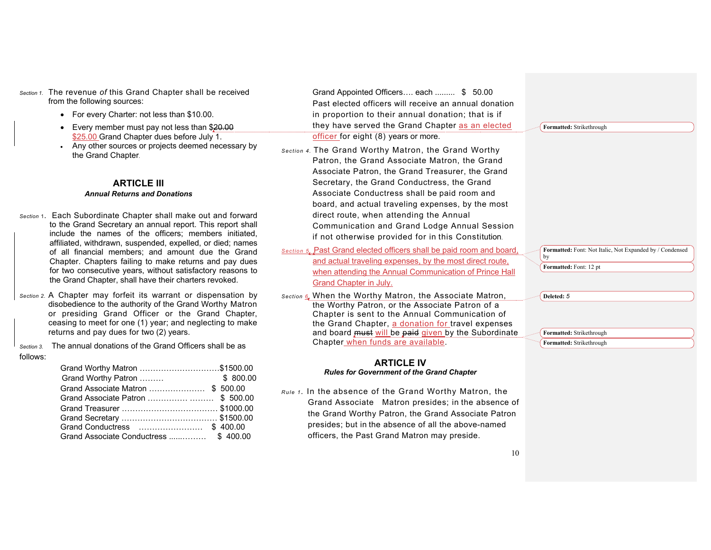*Section 1.* The revenue *of* this Grand Chapter shall be received from the following sources:

- For every Charter: not less than \$10.00.
- Every member must pay not less than \$20.00 \$25.00 Grand Chapter dues before July 1.
- Any other sources or projects deemed necessary by the Grand Chapter.

# **ARTICLE III**

## *Annual Returns and Donations*

- *Section* 1. Each Subordinate Chapter shall make out and forward to the Grand Secretary an annual report. This report shall include the names of the officers; members initiated, affiliated, withdrawn, suspended, expelled, or died; names of all financial members; and amount due the Grand Chapter. Chapters failing to make returns and pay dues for two consecutive years, without satisfactory reasons to the Grand Chapter, shall have their charters revoked.
- *Section 2.* A Chapter may forfeit its warrant or dispensation by disobedience to the authority of the Grand Worthy Matron or presiding Grand Officer or the Grand Chapter, ceasing to meet for one (1) year; and neglecting to make returns and pay dues for two (2) years.

*Section 3.* The annual donations of the Grand Officers shall be as follows:

| Grand Worthy Matron \$1500.00     |  |
|-----------------------------------|--|
|                                   |  |
| Grand Associate Matron  \$ 500.00 |  |
|                                   |  |
|                                   |  |
|                                   |  |
|                                   |  |
|                                   |  |

 Grand Appointed Officers…. each ......... \$ 50.00 Past elected officers will receive an annual donation in proportion to their annual donation; that is if they have served the Grand Chapter as an elected officer for eight (8) years or more.

- *Section 4.* The Grand Worthy Matron, the Grand Worthy Patron, the Grand Associate Matron, the Grand Associate Patron, the Grand Treasurer, the Grand Secretary, the Grand Conductress, the Grand Associate Conductress shall be paid room and board, and actual traveling expenses, by the most direct route, when attending the Annual Communication and Grand Lodge Annual Session if not otherwise provided for in this Constitution.
- *Section 5*. Past Grand elected officers shall be paid room and board, and actual traveling expenses, by the most direct route, when attending the Annual Communication of Prince Hall Grand Chapter in July.
- *Section 6.* When the Worthy Matron, the Associate Matron, the Worthy Patron, or the Associate Patron of a Chapter is sent to the Annual Communication of the Grand Chapter, a donation for travel expenses and board must will be paid given by the Subordinate Chapter when funds are available.

#### **ARTICLE IV** *Rules for Government of the Grand Chapter*

*Rule 1 .* In the absence of the Grand Worthy Matron, the Grand Associate Matron presides; in the absence of the Grand Worthy Patron, the Grand Associate Patron presides; but in the absence of all the above-named officers, the Past Grand Matron may preside.

|            | Formatted: Strikethrough                                 |  |  |
|------------|----------------------------------------------------------|--|--|
|            |                                                          |  |  |
|            |                                                          |  |  |
|            |                                                          |  |  |
|            |                                                          |  |  |
|            |                                                          |  |  |
|            |                                                          |  |  |
|            |                                                          |  |  |
|            |                                                          |  |  |
|            |                                                          |  |  |
|            |                                                          |  |  |
|            |                                                          |  |  |
| by         | Formatted: Font: Not Italic, Not Expanded by / Condensed |  |  |
|            | Formatted: Font: 12 pt                                   |  |  |
|            |                                                          |  |  |
|            |                                                          |  |  |
| Deleted: 5 |                                                          |  |  |
|            |                                                          |  |  |
|            |                                                          |  |  |
|            | Formatted: Strikethrough                                 |  |  |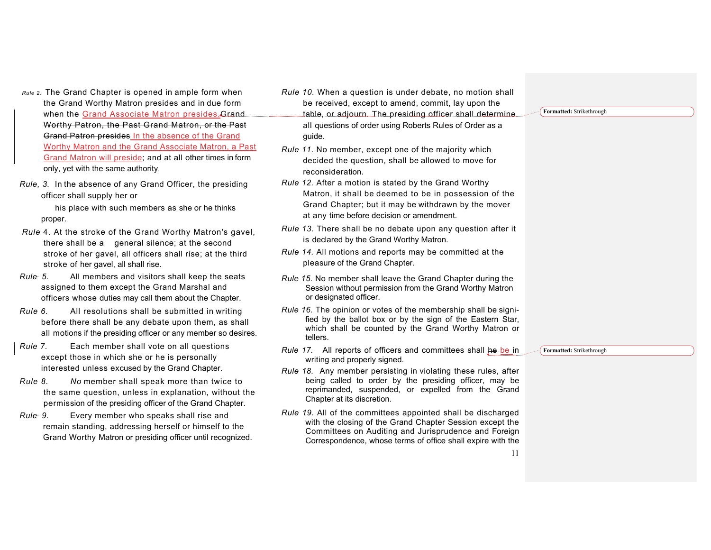- *Rule 2.* The Grand Chapter is opened in ample form when the Grand Worthy Matron presides and in due form when the Grand Associate Matron presides. Grand Worthy Patron, the Past Grand Matron, or the Past Grand Patron presides In the absence of the Grand Worthy Matron and the Grand Associate Matron, a Past Grand Matron will preside; and at all other times in form only, yet with the same authority.
- *Rule, 3.* In the absence of any Grand Officer, the presiding officer shall supply her or

his place with such members as she or he thinks proper.

- *Rule* 4. At the stroke of the Grand Worthy Matron's gavel, there shall be a general silence; at the second stroke of her gavel, all officers shall rise; at the third stroke of her gavel, all shall rise.
- *Rule, 5.* All members and visitors shall keep the seats assigned to them except the Grand Marshal and officers whose duties may call them about the Chapter.
- *Rule 6.* All resolutions shall be submitted in writing before there shall be any debate upon them, as shall all motions if the presiding officer or any member so desires.
- *Rule 7.* Each member shall vote on all questions except those in which she or he is personally interested unless excused by the Grand Chapter.
- *Rule 8. No* member shall speak more than twice to the same question, unless in explanation, without the permission of the presiding officer of the Grand Chapter.
- *Rule, 9.* Every member who speaks shall rise and remain standing, addressing herself or himself to the Grand Worthy Matron or presiding officer until recognized.
- *Rule 10.* When a question is under debate, no motion shall be received, except to amend, commit, lay upon the table, or adjourn. The presiding officer shall determine all questions of order using Roberts Rules of Order as a guide.
- *Rule 11.* No member, except one of the majority which decided the question, shall be allowed to move for reconsideration.
- *Rule 12.* After a motion is stated by the Grand Worthy Matron, it shall be deemed to be in possession of the Grand Chapter; but it may be withdrawn by the mover at any time before decision or amendment.
- *Rule 13.* There shall be no debate upon any question after it is declared by the Grand Worthy Matron.
- *Rule 14.* All motions and reports may be committed at the pleasure of the Grand Chapter.
- *Rule 15.* No member shall leave the Grand Chapter during the Session without permission from the Grand Worthy Matron or designated officer.
- *Rule 16.* The opinion or votes of the membership shall be signified by the ballot box or by the sign of the Eastern Star, which shall be counted by the Grand Worthy Matron or tellers.
- *Rule 17.* All reports of officers and committees shall he be in writing and properly signed.
- *Rule 18.* Any member persisting in violating these rules, after being called to order by the presiding officer, may be reprimanded, suspended, or expelled from the Grand Chapter at its discretion.
- *Rule 19.* All of the committees appointed shall be discharged with the closing of the Grand Chapter Session except the Committees on Auditing and Jurisprudence and Foreign Correspondence, whose terms of office shall expire with the

**Formatted:** Strikethrough

**Formatted:** Strikethrough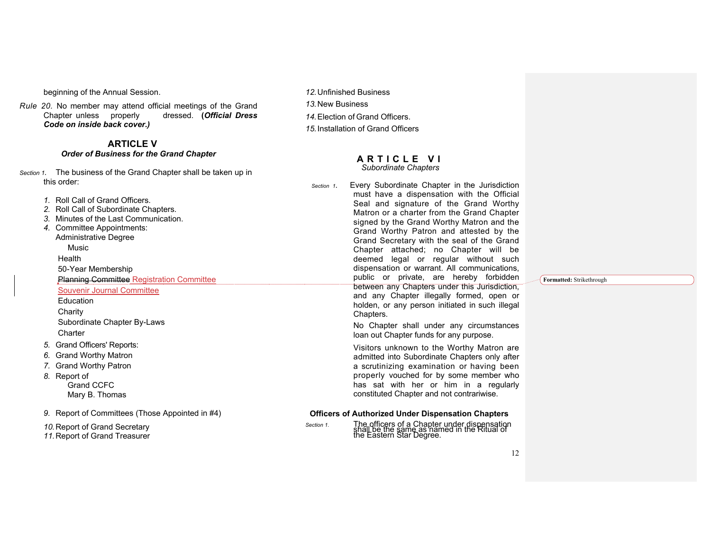beginning of the Annual Session.

*Rule 20.* No member may attend official meetings of the Grand Chapter unless properly dressed. **(***Official Dress Code on inside back cover.)*

## **ARTICLE V**  *Order of Business for the Grand Chapter*

*Section 1.* The business of the Grand Chapter shall be taken up in this order:

*1.* Roll Call of Grand Officers.

*2.* Roll Call of Subordinate Chapters.

- *3.* Minutes of the Last Communication.
- *4.* Committee Appointments:
- Administrative Degree Music

Health

50-Year Membership

Planning Committee Registration Committee

Souvenir Journal Committee

**Education Charity** 

Subordinate Chapter By-Laws **Charter** 

- *5.* Grand Officers' Reports:
- *6.* Grand Worthy Matron
- *7.* Grand Worthy Patron

#### *8.* Report of Grand CCFC Mary B. Thomas

*9.* Report of Committees (Those Appointed in #4)

*10.*Report of Grand Secretary

*11.*Report of Grand Treasurer

*12.*Unfinished Business *13.*New Business *14.*Election of Grand Officers. *15.*Installation of Grand Officers

#### **ARTICL E VI** *Subordinate Chapters*

*Section 1.* Every Subordinate Chapter in the Jurisdiction must have a dispensation with the Official Seal and signature of the Grand Worthy Matron or a charter from the Grand Chapter signed by the Grand Worthy Matron and the Grand Worthy Patron and attested by the Grand Secretary with the seal of the Grand Chapter attached; no Chapter will be deemed legal or regular without such dispensation or warrant. All communications, public or private, are hereby forbidden between any Chapters under this Jurisdiction, and any Chapter illegally formed, open or holden, or any person initiated in such illegal Chapters.

> No Chapter shall under any circumstances loan out Chapter funds for any purpose.

> Visitors unknown to the Worthy Matron are admitted into Subordinate Chapters only after a scrutinizing examination or having been properly vouched for by some member who has sat with her or him in a regularly constituted Chapter and not contrariwise.

### **Officers of Authorized Under Dispensation Chapters**

*Section 1.* The officers of a Chapter under dispensation shall be the same as named in the Ritual of the Eastern Star Degree.

**Formatted:** Strikethrough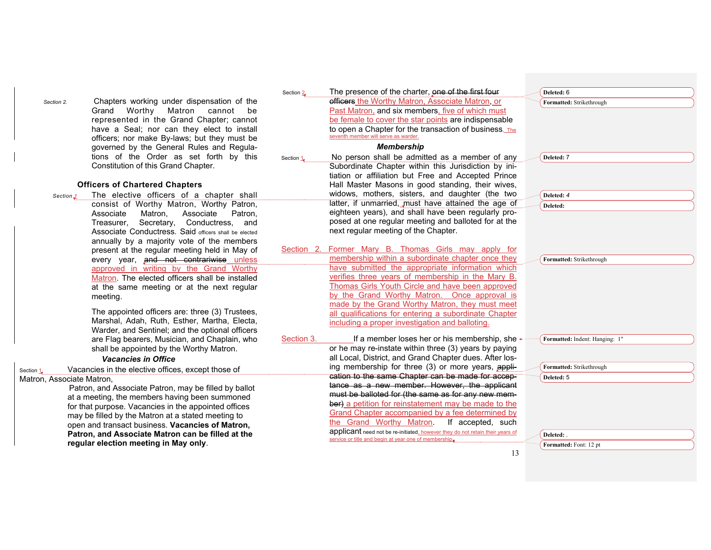*Section 2.* Chapters working under dispensation of the Grand Worthy Matron cannot be represented in the Grand Chapter; cannot have a Seal; nor can they elect to install officers; nor make By-laws; but they must be governed by the General Rules and Regulations of the Order as set forth by this Constitution of this Grand Chapter.

#### **Officers of Chartered Chapters**

*Section 1* The elective officers of a chapter shall consist of Worthy Matron, Worthy Patron, Associate Matron, Associate Patron, Treasurer, Secretary, Conductress, and Associate Conductress. Said officers shall be elected annually by a majority vote of the members present at the regular meeting held in May of every year, and not contrariwise unless approved in writing by the Grand Worthy Matron. The elected officers shall be installed at the same meeting or at the next regular meeting.

> The appointed officers are: three (3) Trustees, Marshal, Adah, Ruth, Esther, Martha, Electa, Warder, and Sentinel; and the optional officers are Flag bearers, Musician, and Chaplain, who shall be appointed by the Worthy Matron.

#### *Vacancies in Office*

Section 1. Vacancies in the elective offices, except those of Matron, Associate Matron,

> Patron, and Associate Patron, may be filled by ballot at a meeting, the members having been summoned for that purpose. Vacancies in the appointed offices may be filled by the Matron at a stated meeting to open and transact business. **Vacancies of Matron, Patron, and Associate Matron can be filled at the regular election meeting in May only**.

Section 2. The presence of the charter, one of the first four officers the Worthy Matron, Associate Matron, or Past Matron, and six members, five of which must be female to cover the star points are indispensable to open a Chapter for the transaction of business. The seventh member will serve as warder.

#### *Membership*

- Section 1. No person shall be admitted as a member of any Subordinate Chapter within this Jurisdiction by initiation or affiliation but Free and Accepted Prince Hall Master Masons in good standing, their wives, widows, mothers, sisters, and daughter (the two latter, if unmarried, must have attained the age of eighteen years), and shall have been regularly proposed at one regular meeting and balloted for at the next regular meeting of the Chapter.
- Section 2. Former Mary B. Thomas Girls may apply for membership within a subordinate chapter once they have submitted the appropriate information which verifies three years of membership in the Mary B. Thomas Girls Youth Circle and have been approved by the Grand Worthy Matron. Once approval is made by the Grand Worthy Matron, they must meet all qualifications for entering a subordinate Chapter including a proper investigation and balloting.

Section 3. If a member loses her or his membership, she  $\leftarrow$ or he may re-instate within three (3) years by paying all Local, District, and Grand Chapter dues. After losing membership for three (3) or more years, application to the same Chapter can be made for acceptance as a new member. However, the applicant must be balloted for (the same as for any new member) a petition for reinstatement may be made to the Grand Chapter accompanied by a fee determined by the Grand Worthy Matron. If accepted, such applicant need not be re-initiated, however they do not retain their years of service or title and begin at year one of membership.

| Deleted: 6                     |
|--------------------------------|
| Formatted: Strikethrough       |
|                                |
|                                |
|                                |
|                                |
| Deleted: 7                     |
|                                |
|                                |
|                                |
| Deleted: 4                     |
| Deleted:                       |
|                                |
|                                |
|                                |
|                                |
| Formatted: Strikethrough       |
|                                |
|                                |
|                                |
|                                |
|                                |
|                                |
| Formatted: Indent: Hanging: 1" |
|                                |
|                                |
| Formatted: Strikethrough       |
| Deleted: 5                     |
|                                |
|                                |
|                                |
|                                |
| Deleted: .                     |
| Formatted: Font: 12 pt         |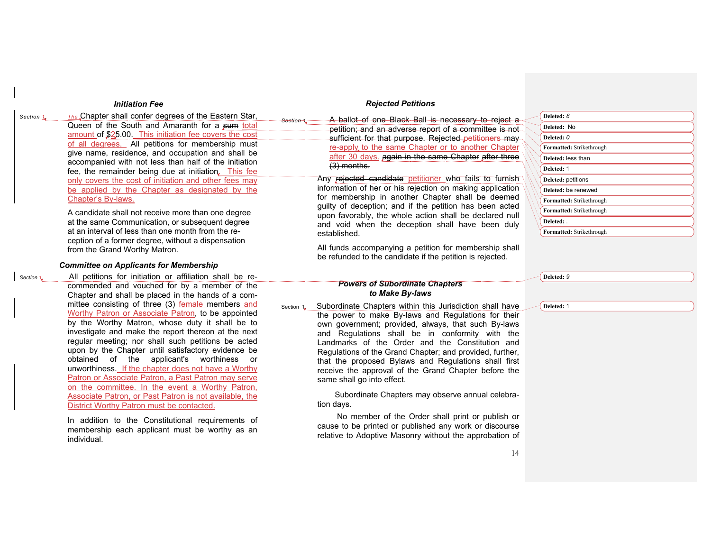#### *Initiation Fee*

*Section 1. The* Chapter shall confer degrees of the Eastern Star, Queen of the South and Amaranth for a sum total amount of \$25.00. This initiation fee covers the cost of all degrees. All petitions for membership must give name, residence, and occupation and shall be accompanied with not less than half of the initiation fee, the remainder being due at initiation. This fee only covers the cost of initiation and other fees may be applied by the Chapter as designated by the Chapter's By-laws.

> A candidate shall not receive more than one degree at the same Communication, or subsequent degree at an interval of less than one month from the reception of a former degree, without a dispensation from the Grand Worthy Matron.

## *Committee on Applicants for Membership*

*Section 1.* All petitions for initiation or affiliation shall be recommended and vouched for by a member of the Chapter and shall be placed in the hands of a committee consisting of three (3) female members and Worthy Patron or Associate Patron, to be appointed by the Worthy Matron, whose duty it shall be to investigate and make the report thereon at the next regular meeting; nor shall such petitions be acted upon by the Chapter until satisfactory evidence be obtained of the applicant's worthiness or unworthiness. If the chapter does not have a Worthy Patron or Associate Patron, a Past Patron may serve on the committee. In the event a Worthy Patron, Associate Patron, or Past Patron is not available, the District Worthy Patron must be contacted.

> In addition to the Constitutional requirements of membership each applicant must be worthy as an individual.

### *Rejected Petitions*

*Section 1.* A ballot of one Black Ball is necessary to reject a petition; and an adverse report of a committee is not sufficient for that purpose. Rejected petitioners may re-apply to the same Chapter or to another Chapter after 30 days. again in the same Chapter after three (3) months.

Any rejected candidate petitioner who fails to furnish information of her or his rejection on making application for membership in another Chapter shall be deemed guilty of deception; and if the petition has been acted upon favorably, the whole action shall be declared null and void when the deception shall have been duly established.

All funds accompanying a petition for membership shall be refunded to the candidate if the petition is rejected.

#### *Powers of Subordinate Chapters to Make By-laws*

Section 1. Subordinate Chapters within this Jurisdiction shall have the power to make By-laws and Regulations for their own government; provided, always, that such By-laws and Regulations shall be in conformity with the Landmarks of the Order and the Constitution and Regulations of the Grand Chapter; and provided, further, that the proposed Bylaws and Regulations shall first receive the approval of the Grand Chapter before the same shall go into effect.

> Subordinate Chapters may observe annual celebration days.

> No member of the Order shall print or publish or cause to be printed or published any work or discourse relative to Adoptive Masonry without the approbation of

| Deleted: 8               |
|--------------------------|
| Deleted: No              |
| Deleted: 0               |
| Formatted: Strikethrough |
| Deleted: less than       |
| Deleted: 1               |
| Deleted: petitions       |
| Deleted: be renewed      |
| Formatted: Strikethrough |
| Formatted: Strikethrough |
| Deleted: .               |
| Formatted: Strikethrough |

**Deleted:** *9*

**Deleted:** 1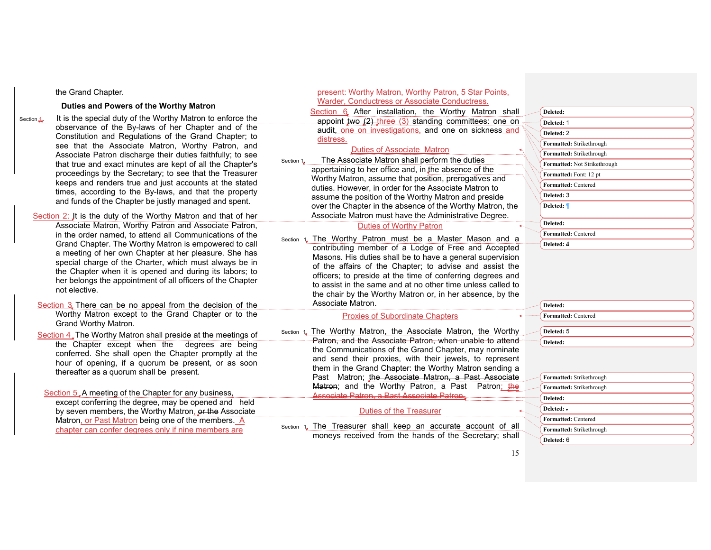#### the Grand Chapter.

#### **Duties and Powers of the Worthy Matron**

Section 1. It is the special duty of the Worthy Matron to enforce the observance of the By-laws of her Chapter and of the Constitution and Regulations of the Grand Chapter; to see that the Associate Matron, Worthy Patron, and Associate Patron discharge their duties faithfully; to see that true and exact minutes are kept of all the Chapter's proceedings by the Secretary; to see that the Treasurer keeps and renders true and just accounts at the stated times, according to the By-laws, and that the property and funds of the Chapter be justly managed and spent.

 Section 2: It is the duty of the Worthy Matron and that of her Associate Matron, Worthy Patron and Associate Patron, in the order named, to attend all Communications of the Grand Chapter. The Worthy Matron is empowered to call a meeting of her own Chapter at her pleasure. She has special charge of the Charter, which must always be in the Chapter when it is opened and during its labors; to her belongs the appointment of all officers of the Chapter not elective.

Section 3 There can be no appeal from the decision of the Worthy Matron except to the Grand Chapter or to the Grand Worthy Matron.

Section 4. The Worthy Matron shall preside at the meetings of the Chapter except when the degrees are being conferred. She shall open the Chapter promptly at the hour of opening, if a quorum be present, or as soon thereafter as a quorum shall be present.

Section 5.A meeting of the Chapter for any business, except conferring the degree, may be opened and held by seven members, the Worthy Matron, or the Associate Matron, or Past Matron being one of the members. A chapter can confer degrees only if nine members are

#### Warder, Conductress or Associate Conductress. Section 6 After installation, the Worthy Matron shall appoint two  $(2)$  three  $(3)$  standing committees: one on audit, one on investigations, and one on sickness and distress. Duties of Associate Matron Section 1. The Associate Matron shall perform the duties appertaining to her office and, in the absence of the Worthy Matron, assume that position, prerogatives and duties. However, in order for the Associate Matron to assume the position of the Worthy Matron and preside over the Chapter in the absence of the Worthy Matron, the Associate Matron must have the Administrative Degree. Duties of Worthy Patron Section 1. The Worthy Patron must be a Master Mason and a contributing member of a Lodge of Free and Accepted Masons. His duties shall be to have a general supervision of the affairs of the Chapter; to advise and assist the officers; to preside at the time of conferring degrees and to assist in the same and at no other time unless called to the chair by the Worthy Matron or, in her absence, by the Associate Matron. **Proxies of Subordinate Chapters** Section 1. The Worthy Matron, the Associate Matron, the Worthy Patron, and the Associate Patron, when unable to attend the Communications of the Grand Chapter, may nominate and send their proxies, with their jewels, to represent them in the Grand Chapter: the Worthy Matron sending a Past Matron; the Associate Matron, a Past Associate Matron; and the Worthy Patron, a Past Patron; the Associate Patron, a Past Associate Patron. Duties of the Treasurer Section 1. The Treasurer shall keep an accurate account of all moneys received from the hands of the Secretary; shall **Deleted:** 1 **Deleted:** 2 **Deleted: Deleted: Deleted: Deleted: Formatted:** Strikethrough **Deleted: Formatted:** Strikethrough **Formatted:** Strikethrough **Formatted:** Not Strikethrough **Formatted:** Font: 12 pt **Formatted:** Centered **Deleted:** 3 **Deleted:** ¶ **Formatted:** Centered **Deleted:** 4 **Formatted:** Centered **Deleted:** 5 **Formatted:** Strikethrough **Formatted:** Strikethrough **Deleted:** . **Formatted:** Centered **Deleted:** 6

present: Worthy Matron, Worthy Patron, 5 Star Points,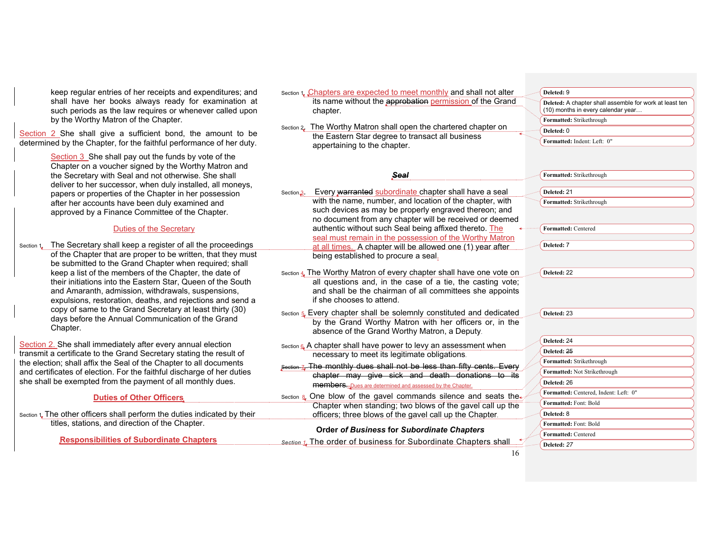keep regular entries of her receipts and expendit shall have her books always ready for exam such periods as the law requires or whenever called upon by the Worthy Matron of the Chapter.

Section 2 She shall give a sufficient bond, the amore determined by the Chapter, for the faithful performance of

> Section 3 She shall pay out the funds by vote of Chapter on a voucher signed by the Worthy Matro the Secretary with Seal and not otherwise. She shall deliver to her successor, when duly installed, all papers or properties of the Chapter in her posses after her accounts have been duly examined and approved by a Finance Committee of the Chapte

## Duties of the Secretary

Section 1. The Secretary shall keep a register of all the prod of the Chapter that are proper to be written, that be submitted to the Grand Chapter when require keep a list of the members of the Chapter, the da their initiations into the Eastern Star, Queen of the and Amaranth, admission, withdrawals, suspensi expulsions, restoration, deaths, and rejections are copy of same to the Grand Secretary at least thir days before the Annual Communication of the Gr Chapter.

Section 2. She shall immediately after every annual election transmit a certificate to the Grand Secretary stating the re the election; shall affix the Seal of the Chapter to all docum and certificates of election. For the faithful discharge of he she shall be exempted from the payment of all monthly dues.

| <b>Duties of Other Officers</b>                                           |  |  |  |  |
|---------------------------------------------------------------------------|--|--|--|--|
| section 1. The other officers shall perform the duties indicated by their |  |  |  |  |
| titles, stations, and direction of the Chapter.                           |  |  |  |  |

**Responsibilities of Subordinate Chapters**

| tures: and                 | Section 1, Chapters are expected to meet monthly and shall not alter                                                      | Deleted: 9                                              |
|----------------------------|---------------------------------------------------------------------------------------------------------------------------|---------------------------------------------------------|
| ination at                 | its name without the approbation permission of the Grand                                                                  | Deleted: A chapter shall assemble for work at least ten |
| alled upon                 | chapter.                                                                                                                  | (10) months in every calendar year                      |
|                            | Section 2. The Worthy Matron shall open the chartered chapter on                                                          | Formatted: Strikethrough                                |
| unt to be                  | the Eastern Star degree to transact all business                                                                          | Deleted: 0                                              |
| f her duty.                | appertaining to the chapter.                                                                                              | Formatted: Indent: Left: 0"                             |
| the<br>ron and             |                                                                                                                           |                                                         |
| shall                      | Seal                                                                                                                      | Formatted: Strikethrough                                |
| moneys,<br>ssion           | Every warranted subordinate chapter shall have a seal<br>Section 3.                                                       | Deleted: 21                                             |
|                            | with the name, number, and location of the chapter, with                                                                  | Formatted: Strikethrough                                |
| ۲.                         | such devices as may be properly engraved thereon; and                                                                     |                                                         |
|                            | no document from any chapter will be received or deemed                                                                   |                                                         |
|                            | authentic without such Seal being affixed thereto. The                                                                    | <b>Formatted: Centered</b>                              |
|                            | seal must remain in the possession of the Worthy Matron                                                                   |                                                         |
| ceedings                   | at all times. A chapter will be allowed one (1) year after                                                                | Deleted: 7                                              |
| they must<br>d; shall      | being established to procure a seal.                                                                                      |                                                         |
| ate of                     | Section 4 The Worthy Matron of every chapter shall have one vote on                                                       | Deleted: 22                                             |
| ıe South                   | all questions and, in the case of a tie, the casting vote;                                                                |                                                         |
| ions,                      | and shall be the chairman of all committees she appoints                                                                  |                                                         |
| าd send a                  | if she chooses to attend.                                                                                                 |                                                         |
| ty (30)                    | Section 5. Every chapter shall be solemnly constituted and dedicated                                                      | Deleted: 23                                             |
| rand                       | by the Grand Worthy Matron with her officers or, in the<br>absence of the Grand Worthy Matron, a Deputy.                  |                                                         |
|                            |                                                                                                                           | Deleted: 24                                             |
| on<br>sult of              | Section 6. A chapter shall have power to levy an assessment when<br>necessary to meet its legitimate obligations.         | Deleted: 25                                             |
| ments<br>er duties<br>Jes. | Section 7. The monthly dues shall not be less than fifty cents. Every<br>chapter may give sick and death donations to its | Formatted: Strikethrough                                |
|                            |                                                                                                                           | Formatted: Not Strikethrough                            |
|                            | <b>members.</b> Dues are determined and assessed by the Chapter.                                                          | Deleted: 26                                             |
|                            | Section & One blow of the gavel commands silence and seats the.                                                           | Formatted: Centered, Indent: Left: 0"                   |
|                            | Chapter when standing; two blows of the gavel call up the                                                                 | Formatted: Font: Bold                                   |
| d by their                 | officers; three blows of the gavel call up the Chapter.                                                                   | Deleted: 8                                              |
|                            |                                                                                                                           | Formatted: Font: Bold                                   |
|                            | <b>Order of Business for Subordinate Chapters</b>                                                                         | Formatted: Centered                                     |
|                            | Section 1. The order of business for Subordinate Chapters shall                                                           | Deleted: 27                                             |
|                            |                                                                                                                           |                                                         |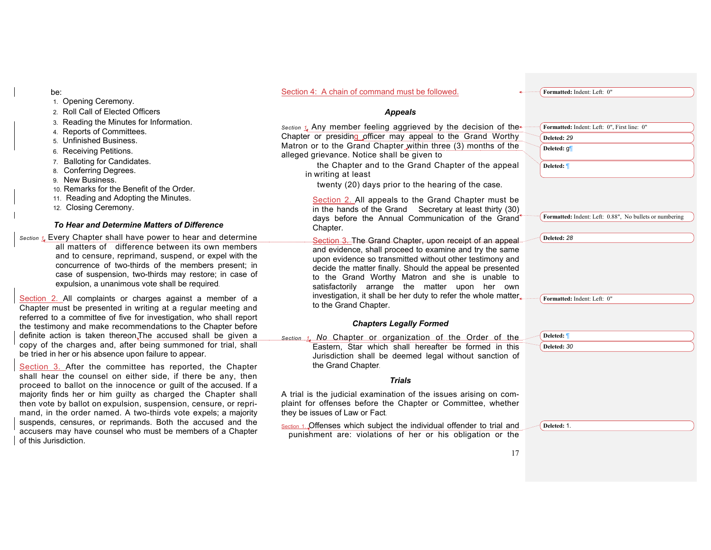#### be:

- 1. Opening Ceremony.
- 2. Roll Call of Elected Officers
- 3. Reading the Minutes for Information.
- 4. Reports of Committees.
- 5. Unfinished Business.
- 6. Receiving Petitions.
- 7. Balloting for Candidates.
- 8. Conferring Degrees.
- 9. New Business.
- 10. Remarks for the Benefit of the Order.
- 11. Reading and Adopting the Minutes.
- 12. Closing Ceremony.

## *To Hear and Determine Matters of Difference*

*Section 1.* Every Chapter shall have power to hear and determine all matters of difference between its own members and to censure, reprimand, suspend, or expel with the concurrence of two-thirds of the members present; in case of suspension, two-thirds may restore; in case of expulsion, a unanimous vote shall be required.

Section 2. All complaints or charges against a member of a Chapter must be presented in writing at a regular meeting and referred to a committee of five for investigation, who shall report the testimony and make recommendations to the Chapter before definite action is taken thereon.The accused shall be given a copy of the charges and, after being summoned for trial, shall be tried in her or his absence upon failure to appear.

Section 3. After the committee has reported, the Chapter shall hear the counsel on either side, if there be any, then proceed to ballot on the innocence or guilt of the accused. If a majority finds her or him guilty as charged the Chapter shall then vote by ballot on expulsion, suspension, censure, or reprimand, in the order named. A two-thirds vote expels; a majority suspends, censures, or reprimands. Both the accused and the accusers may have counsel who must be members of a Chapter of this Jurisdiction.

#### Section 4: A chain of command must be followed.

**Formatted:** Indent: Left: 0"

## *Appeals*

*Section 1.* Any member feeling aggrieved by the decision of the Chapter or presiding officer may appeal to the Grand Worthy Matron or to the Grand Chapter within three (3) months of the alleged grievance. Notice shall be given to

 the Chapter and to the Grand Chapter of the appeal in writing at least

twenty (20) days prior to the hearing of the case.

Section 2. All appeals to the Grand Chapter must be in the hands of the Grand Secretary at least thirty (30) days before the Annual Communication of the Grand Chapter.

Section 3. The Grand Chapter, upon receipt of an appeal and evidence, shall proceed to examine and try the same upon evidence so transmitted without other testimony and decide the matter finally. Should the appeal be presented to the Grand Worthy Matron and she is unable to satisfactorily arrange the matter upon her own investigation, it shall be her duty to refer the whole matter to the Grand Chapter.

#### *Chapters Legally Formed*

*Section 1. No* Chapter or organization of the Order of the Eastern, Star which shall hereafter be formed in this Jurisdiction shall be deemed legal without sanction of the Grand Chapter.

## *Trials*

A trial is the judicial examination of the issues arising on complaint for offenses before the Chapter or Committee, whether they be issues of Law or Fact.

Section 1. Offenses which subject the individual offender to trial and punishment are: violations of her or his obligation or the

| Formatted: Indent: Left: 0", First line: 0" |                                                         |
|---------------------------------------------|---------------------------------------------------------|
| Deleted: 29                                 |                                                         |
| Deleted: g                                  |                                                         |
| Deleted:                                    |                                                         |
|                                             |                                                         |
|                                             |                                                         |
|                                             | Formatted: Indent: Left: 0.88", No bullets or numbering |
|                                             |                                                         |
| Deleted: 28                                 |                                                         |
|                                             |                                                         |
|                                             |                                                         |
|                                             |                                                         |
|                                             |                                                         |
| Formatted: Indent: Left: 0"                 |                                                         |
|                                             |                                                         |
|                                             |                                                         |
| Deleted:                                    |                                                         |
| Deleted: 30                                 |                                                         |
|                                             |                                                         |
|                                             |                                                         |
|                                             |                                                         |
|                                             |                                                         |
|                                             |                                                         |
| Deleted: 1.                                 |                                                         |
|                                             |                                                         |
|                                             |                                                         |
|                                             |                                                         |
|                                             |                                                         |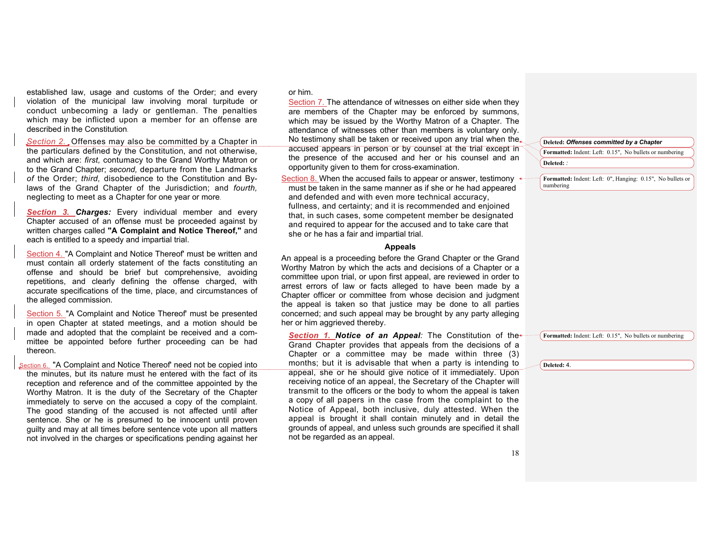established law, usage and customs of the Order; and every violation of the municipal law involving moral turpitude or conduct unbecoming a lady or gentleman. The penalties which may be inflicted upon a member for an offense are described in the Constitution.

*Section 2.* Offenses may also be committed by a Chapter in the particulars defined by the Constitution, and not otherwise, and which are: *first,* contumacy to the Grand Worthy Matron or to the Grand Chapter; *second,* departure from the Landmarks *of* the Order; *third,* disobedience to the Constitution and Bylaws of the Grand Chapter of the Jurisdiction; and *fourth,*  neglecting to meet as a Chapter for one year or more.

*Section 3. Charges:* Every individual member and every Chapter accused of an offense must be proceeded against by written charges called **"A Complaint and Notice Thereof,"** and each is entitled to a speedy and impartial trial.

Section 4. "A Complaint and Notice Thereof' must be written and must contain all orderly statement of the facts constituting an offense and should be brief but comprehensive, avoiding repetitions, and clearly defining the offense charged, with accurate specifications of the time, place, and circumstances of the alleged commission.

Section 5. "A Complaint and Notice Thereof' must be presented in open Chapter at stated meetings, and a motion should be made and adopted that the complaint be received and a committee be appointed before further proceeding can be had thereon.

Section 6. "A Complaint and Notice Thereof' need not be copied into the minutes, but its nature must he entered with the fact of its reception and reference and of the committee appointed by the Worthy Matron. It is the duty of the Secretary of the Chapter immediately to serve on the accused a copy of the complaint. The good standing of the accused is not affected until after sentence. She or he is presumed to be innocent until proven guilty and may at all times before sentence vote upon all matters not involved in the charges or specifications pending against her

#### or him.

Section 7. The attendance of witnesses on either side when they are members of the Chapter may be enforced by summons, which may be issued by the Worthy Matron of a Chapter. The attendance of witnesses other than members is voluntary only. No testimony shall be taken or received upon any trial when the. accused appears in person or by counsel at the trial except in the presence of the accused and her or his counsel and an opportunity given to them for cross-examination.

Section 8. When the accused fails to appear or answer, testimony must be taken in the same manner as if she or he had appeared and defended and with even more technical accuracy, fullness, and certainty; and it is recommended and enjoined that, in such cases, some competent member be designated and required to appear for the accused and to take care that she or he has a fair and impartial trial.

#### **Appeals**

An appeal is a proceeding before the Grand Chapter or the Grand Worthy Matron by which the acts and decisions of a Chapter or a committee upon trial, or upon first appeal, are reviewed in order to arrest errors of law or facts alleged to have been made by a Chapter officer or committee from whose decision and judgment the appeal is taken so that justice may be done to all parties concerned; and such appeal may be brought by any party alleging her or him aggrieved thereby.

*Section 1. Notice of an Appeal:* The Constitution of the Grand Chapter provides that appeals from the decisions of a Chapter or a committee may be made within three (3) months; but it is advisable that when a party is intending to appeal, she or he should give notice of it immediately. Upon receiving notice of an appeal, the Secretary of the Chapter will transmit to the officers or the body to whom the appeal is taken a copy of all papers in the case from the complaint to the Notice of Appeal, both inclusive, duly attested. When the appeal is brought it shall contain minutely and in detail the grounds of appeal, and unless such grounds are specified it shall not be regarded as an appeal.

## **Deleted:** *Offenses committed by a Chapter*

**Formatted:** Indent: Left: 0.15", No bullets or numbering **Deleted:** *:*

**Formatted:** Indent: Left: 0", Hanging: 0.15", No bullets or numbering

**Formatted:** Indent: Left: 0.15", No bullets or numbering

**Deleted:** 4.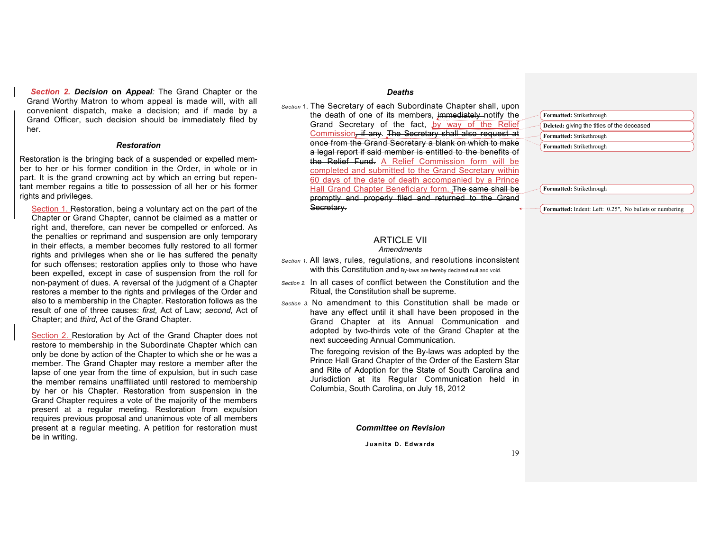*Section 2. Decision* **on** *Appeal:* The Grand Chapter or the Grand Worthy Matron to whom appeal is made will, with all convenient dispatch, make a decision; and if made by a Grand Officer, such decision should be immediately filed by her.

#### *Restoration*

Restoration is the bringing back of a suspended or expelled member to her or his former condition in the Order, in whole or in part. It is the grand crowning act by which an erring but repentant member regains a title to possession of all her or his former rights and privileges.

Section 1. Restoration, being a voluntary act on the part of the Chapter or Grand Chapter, cannot be claimed as a matter or right and, therefore, can never be compelled or enforced. As the penalties or reprimand and suspension are only temporary in their effects, a member becomes fully restored to all former rights and privileges when she or lie has suffered the penalty for such offenses; restoration applies only to those who have been expelled, except in case of suspension from the roll for non-payment of dues. A reversal of the judgment of a Chapter restores a member to the rights and privileges of the Order and also to a membership in the Chapter. Restoration follows as the result of one of three causes: *first,* Act of Law; *second,* Act of Chapter; and *third,* Act of the Grand Chapter.

Section 2. Restoration by Act of the Grand Chapter does not restore to membership in the Subordinate Chapter which can only be done by action of the Chapter to which she or he was a member. The Grand Chapter may restore a member after the lapse of one year from the time of expulsion, but in such case the member remains unaffiliated until restored to membership by her or his Chapter. Restoration from suspension in the Grand Chapter requires a vote of the majority of the members present at a regular meeting. Restoration from expulsion requires previous proposal and unanimous vote of all members present at a regular meeting. A petition for restoration must be in writing.

## *Deaths*

*Section* 1. The Secretary of each Subordinate Chapter shall, upon the death of one of its members, immediately notify the Grand Secretary of the fact, by way of the Relief Commission, if any. The Secretary shall also request at once from the Grand Secretary a blank on which to make a legal report if said member is entitled to the benefits of the Relief Fund. A Relief Commission form will be completed and submitted to the Grand Secretary within 60 days of the date of death accompanied by a Prince Hall Grand Chapter Beneficiary form. The same shall be promptly and properly filed and returned to the Grand Secretary.

# **Formatted:** Strikethrough **Deleted:** giving the titles of the deceased **Formatted:** Strikethrough **Formatted:** Strikethrough

**Formatted:** Strikethrough

**Formatted:** Indent: Left: 0.25", No bullets or numbering

#### **ARTICLE VII** *Amendments*

- *Section 1.* All laws, rules, regulations, and resolutions inconsistent with this Constitution and By-laws are hereby declared null and void.
- *Section 2.* In all cases of conflict between the Constitution and the Ritual, the Constitution shall be supreme.
- *Section 3.* No amendment to this Constitution shall be made or have any effect until it shall have been proposed in the Grand Chapter at its Annual Communication and adopted by two-thirds vote of the Grand Chapter at the next succeeding Annual Communication.

The foregoing revision of the By-laws was adopted by the Prince Hall Grand Chapter of the Order of the Eastern Star and Rite of Adoption for the State of South Carolina and Jurisdiction at its Regular Communication held in Columbia, South Carolina, on July 18, 2012

#### *Committee on Revision*

**Juanita D. Edwards**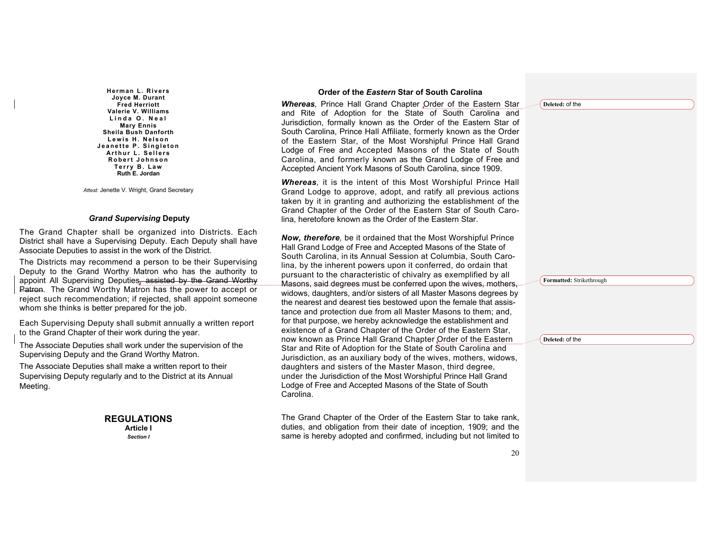**Herman L. Rivers Joyce M. Durant Fred Herriott Valerie V. Williams Linda O. Nea l Mary Ennis Sheila Bush Danforth Lewis H. Nelson Jea nette P. Singleton Arthur L. Sellers Robert Johnson Terry B. Law Ruth E. Jordan**

*Attest:* Jenette V. Wright, Grand Secretary

#### *Grand Supervising* **Deputy**

The Grand Chapter shall be organized into Districts. Each District shall have a Supervising Deputy. Each Deputy shall have Associate Deputies to assist in the work of the District.

The Districts may recommend a person to be their Supervising Deputy to the Grand Worthy Matron who has the authority to appoint All Supervising Deputies, assisted by the Grand Worthy Patron. The Grand Worthy Matron has the power to accept or reject such recommendation; if rejected, shall appoint someone whom she thinks is better prepared for the job.

Each Supervising Deputy shall submit annually a written report to the Grand Chapter of their work during the year.

The Associate Deputies shall work under the supervision of the Supervising Deputy and the Grand Worthy Matron.

The Associate Deputies shall make a written report to their Supervising Deputy regularly and to the District at its Annual Meeting.

#### **REGULATIONS Article I**

*Section I*

#### **Order of the** *Eastern* **Star of South Carolina**

*Whereas,* Prince Hall Grand Chapter Order of the Eastern Star and Rite of Adoption for the State of South Carolina and Jurisdiction, formally known as the Order of the Eastern Star of South Carolina, Prince Hall Affiliate, formerly known as the Order of the Eastern Star, of the Most Worshipful Prince Hall Grand Lodge of Free and Accepted Masons of the State of South Carolina, and formerly known as the Grand Lodge of Free and Accepted Ancient York Masons of South Carolina, since 1909.

*Whereas,* it is the intent of this Most Worshipful Prince Hall Grand Lodge to approve, adopt, and ratify all previous actions taken by it in granting and authorizing the establishment of the Grand Chapter of the Order of the Eastern Star of South Carolina, heretofore known as the Order of the Eastern Star.

*Now, therefore,* be it ordained that the Most Worshipful Prince Hall Grand Lodge of Free and Accepted Masons of the State of South Carolina, in its Annual Session at Columbia, South Carolina, by the inherent powers upon it conferred, do ordain that pursuant to the characteristic of chivalry as exemplified by all Masons, said degrees must be conferred upon the wives, mothers, widows, daughters, and/or sisters of all Master Masons degrees by the nearest and dearest ties bestowed upon the female that assistance and protection due from all Master Masons to them; and, for that purpose, we hereby acknowledge the establishment and existence of a Grand Chapter of the Order of the Eastern Star, now known as Prince Hall Grand Chapter Order of the Eastern Star and Rite of Adoption for the State of South Carolina and Jurisdiction, as an auxiliary body of the wives, mothers, widows, daughters and sisters of the Master Mason, third degree, under the Jurisdiction of the Most Worshipful Prince Hall Grand Lodge of Free and Accepted Masons of the State of South Carolina.

The Grand Chapter of the Order of the Eastern Star to take rank, duties, and obligation from their date of inception, 1909; and the same is hereby adopted and confirmed, including but not limited to **Deleted:** of the

**Formatted:** Strikethrough

**Deleted:** of the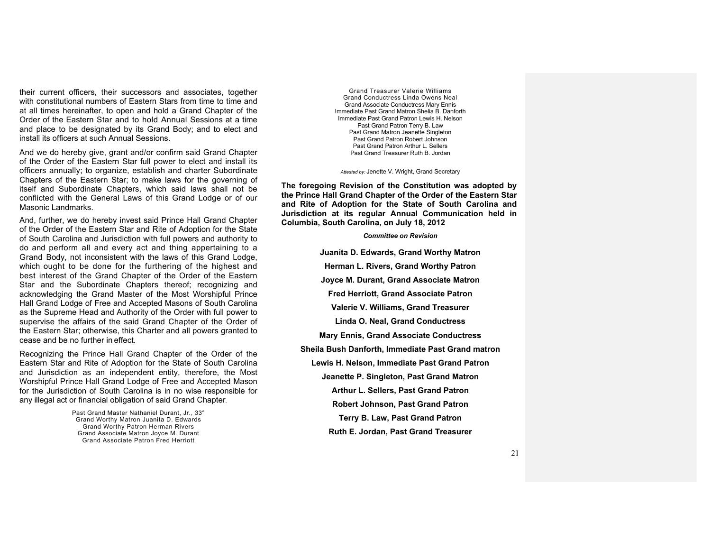their current officers, their successors and associates, together with constitutional numbers of Eastern Stars from time to time and at all times hereinafter, to open and hold a Grand Chapter of the Order of the Eastern Star and to hold Annual Sessions at a time and place to be designated by its Grand Body; and to elect and install its officers at such Annual Sessions.

And we do hereby give, grant and/or confirm said Grand Chapter of the Order of the Eastern Star full power to elect and install its officers annually; to organize, establish and charter Subordinate Chapters of the Eastern Star; to make laws for the governing of itself and Subordinate Chapters, which said laws shall not be conflicted with the General Laws of this Grand Lodge or of our Masonic Landmarks.

And, further, we do hereby invest said Prince Hall Grand Chapter of the Order of the Eastern Star and Rite of Adoption for the State of South Carolina and Jurisdiction with full powers and authority to do and perform all and every act and thing appertaining to a Grand Body, not inconsistent with the laws of this Grand Lodge, which ought to be done for the furthering of the highest and best interest of the Grand Chapter of the Order of the Eastern Star and the Subordinate Chapters thereof; recognizing and acknowledging the Grand Master of the Most Worshipful Prince Hall Grand Lodge of Free and Accepted Masons of South Carolina as the Supreme Head and Authority of the Order with full power to supervise the affairs of the said Grand Chapter of the Order of the Eastern Star; otherwise, this Charter and all powers granted to cease and be no further in effect.

Recognizing the Prince Hall Grand Chapter of the Order of the Eastern Star and Rite of Adoption for the State of South Carolina and Jurisdiction as an independent entity, therefore, the Most Worshipful Prince Hall Grand Lodge of Free and Accepted Mason for the Jurisdiction of South Carolina is in no wise responsible for any illegal act or financial obligation of said Grand Chapter.

> Past Grand Master Nathaniel Durant, Jr., 33° Grand Worthy Matron Juanita D. Edwards Grand Worthy Patron Herman Rivers Grand Associate Matron Joyce M. Durant Grand Associate Patron Fred Herriott

Grand Treasurer Valerie Williams Grand Conductress Linda Owens Neal Grand Associate Conductress Mary Ennis Immediate Past Grand Matron Shelia B. Danforth Immediate Past Grand Patron Lewis H. Nelson Past Grand Patron Terry B. Law Past Grand Matron Jeanette Singleton Past Grand Patron Robert Johnson Past Grand Patron Arthur L. Sellers Past Grand Treasurer Ruth B. Jordan

*Attested by:* Jenette V. Wright, Grand Secretary

**The foregoing Revision of the Constitution was adopted by the Prince Hall Grand Chapter of the Order of the Eastern Star and Rite of Adoption for the State of South Carolina and Jurisdiction at its regular Annual Communication held in Columbia, South Carolina, on July 18, 2012**

*Committee on Revision*

**Juanita D. Edwards, Grand Worthy Matron Herman L. Rivers, Grand Worthy Patron Joyce M. Durant, Grand Associate Matron Fred Herriott, Grand Associate Patron Valerie V. Williams, Grand Treasurer Linda O. Neal, Grand Conductress Mary Ennis, Grand Associate Conductress Sheila Bush Danforth, Immediate Past Grand matron Lewis H. Nelson, Immediate Past Grand Patron Jeanette P. Singleton, Past Grand Matron Arthur L. Sellers, Past Grand Patron Robert Johnson, Past Grand Patron Terry B. Law, Past Grand Patron Ruth E. Jordan, Past Grand Treasurer**